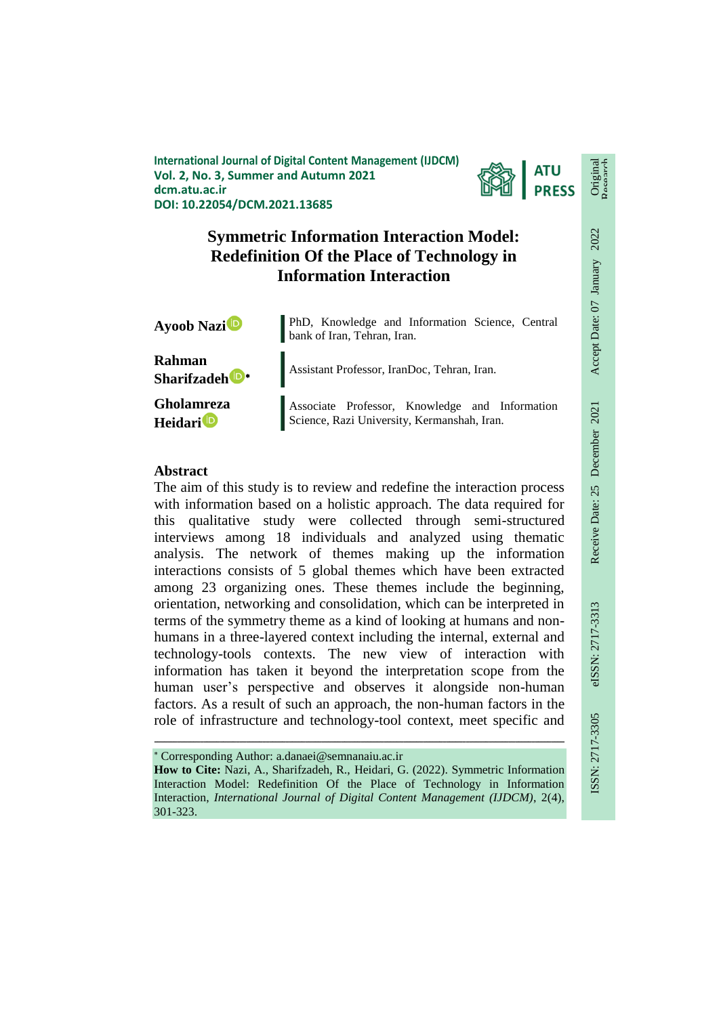**International Journal of Digital Content Management (IJDCM) Vol. 2, No. 3, Summer and Autumn 2021 dcm.atu.ac.ir DOI: 10.22054/DCM.2021.13685**



# **Symmetric Information Interaction Model: Redefinition Of the Place of Technology in Information Interaction**

| <b>Ayoob Nazi<sup>D</sup></b>       | PhD, Knowledge and Information Science, Central<br>bank of Iran, Tehran, Iran.                |  |  |  |  |  |  |  |
|-------------------------------------|-----------------------------------------------------------------------------------------------|--|--|--|--|--|--|--|
| Rahman<br>Sharifzadeh <sup>D*</sup> | Assistant Professor, IranDoc, Tehran, Iran.                                                   |  |  |  |  |  |  |  |
| Gholamreza<br>Heidari <sup>to</sup> | Associate Professor, Knowledge and Information<br>Science, Razi University, Kermanshah, Iran. |  |  |  |  |  |  |  |

# **Abstract**

The aim of this study is to review and redefine the interaction process with information based on a holistic approach. The data required for this qualitative study were collected through semi-structured interviews among 18 individuals and analyzed using thematic analysis. The network of themes making up the information interactions consists of 5 global themes which have been extracted among 23 organizing ones. These themes include the beginning, orientation, networking and consolidation, which can be interpreted in terms of the symmetry theme as a kind of looking at humans and nonhumans in a three-layered context including the internal, external and technology-tools contexts. The new view of interaction with information has taken it beyond the interpretation scope from the human user's perspective and observes it alongside non-human factors. As a result of such an approach, the non-human factors in the role of infrastructure and technology-tool context, meet specific and

Corresponding Author: a.danaei@semnanaiu.ac.ir

**How to Cite:** Nazi, A., Sharifzadeh, R., Heidari, G. (2022). Symmetric Information Interaction Model: Redefinition Of the Place of Technology in Information Interaction, *International Journal of Digital Content Management (IJDCM)*, 2(4), 301-323.

ـــــــــــــــــــــــــــــــــــــــــــــــــــــــــــــــــــــــــــــــــــــــــــــــــــــــــــــــــــــــــــــ

Original Research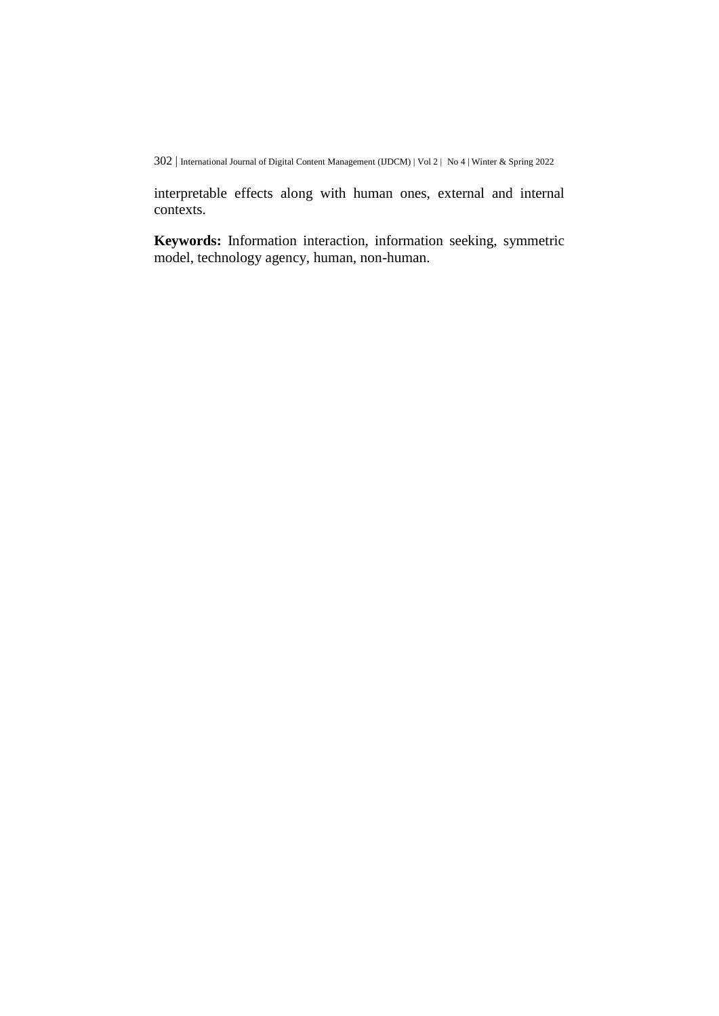interpretable effects along with human ones, external and internal contexts.

**Keywords:** Information interaction, information seeking, symmetric model, technology agency, human, non-human.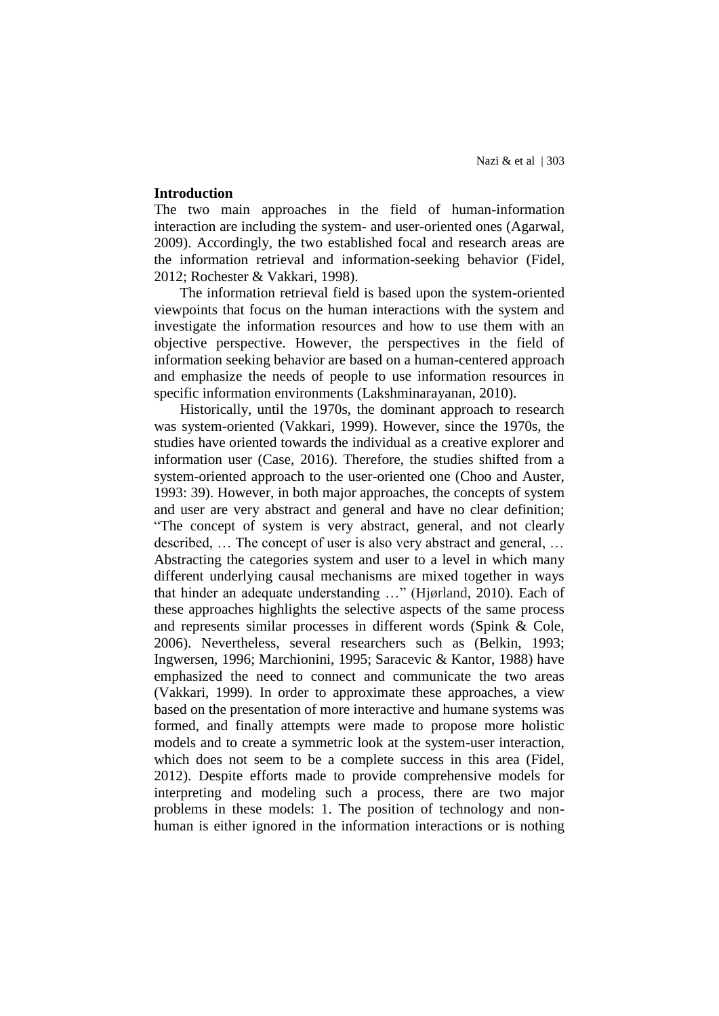#### **Introduction**

The two main approaches in the field of human-information interaction are including the system- and user-oriented ones (Agarwal, 2009). Accordingly, the two established focal and research areas are the information retrieval and information-seeking behavior (Fidel, 2012; Rochester & Vakkari, 1998).

The information retrieval field is based upon the system-oriented viewpoints that focus on the human interactions with the system and investigate the information resources and how to use them with an objective perspective. However, the perspectives in the field of information seeking behavior are based on a human-centered approach and emphasize the needs of people to use information resources in specific information environments (Lakshminarayanan, 2010).

Historically, until the 1970s, the dominant approach to research was system-oriented (Vakkari, 1999). However, since the 1970s, the studies have oriented towards the individual as a creative explorer and information user (Case, 2016). Therefore, the studies shifted from a system-oriented approach to the user-oriented one (Choo and Auster, 1993: 39). However, in both major approaches, the concepts of system and user are very abstract and general and have no clear definition; "The concept of system is very abstract, general, and not clearly described, … The concept of user is also very abstract and general, … Abstracting the categories system and user to a level in which many different underlying causal mechanisms are mixed together in ways that hinder an adequate understanding …" (Hjørland, 2010). Each of these approaches highlights the selective aspects of the same process and represents similar processes in different words (Spink & Cole, 2006). Nevertheless, several researchers such as (Belkin, 1993; Ingwersen, 1996; Marchionini, 1995; Saracevic & Kantor, 1988) have emphasized the need to connect and communicate the two areas (Vakkari, 1999). In order to approximate these approaches, a view based on the presentation of more interactive and humane systems was formed, and finally attempts were made to propose more holistic models and to create a symmetric look at the system-user interaction, which does not seem to be a complete success in this area (Fidel, 2012). Despite efforts made to provide comprehensive models for interpreting and modeling such a process, there are two major problems in these models: 1. The position of technology and nonhuman is either ignored in the information interactions or is nothing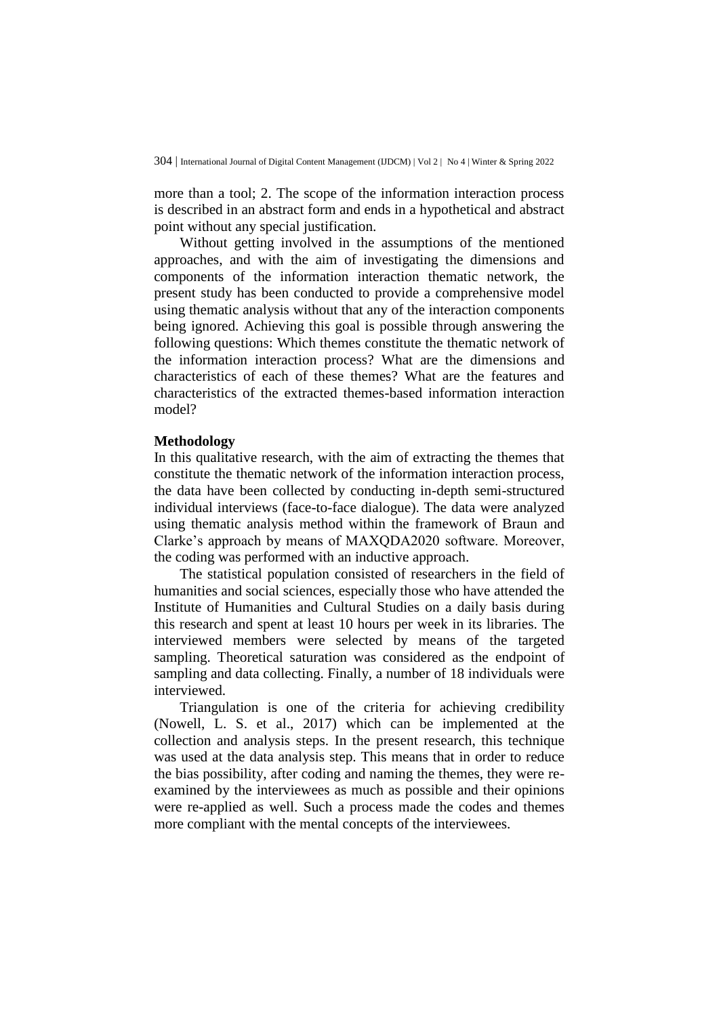more than a tool; 2. The scope of the information interaction process is described in an abstract form and ends in a hypothetical and abstract point without any special justification.

Without getting involved in the assumptions of the mentioned approaches, and with the aim of investigating the dimensions and components of the information interaction thematic network, the present study has been conducted to provide a comprehensive model using thematic analysis without that any of the interaction components being ignored. Achieving this goal is possible through answering the following questions: Which themes constitute the thematic network of the information interaction process? What are the dimensions and characteristics of each of these themes? What are the features and characteristics of the extracted themes-based information interaction model?

#### **Methodology**

In this qualitative research, with the aim of extracting the themes that constitute the thematic network of the information interaction process, the data have been collected by conducting in-depth semi-structured individual interviews (face-to-face dialogue). The data were analyzed using thematic analysis method within the framework of Braun and Clarke's approach by means of MAXQDA2020 software. Moreover, the coding was performed with an inductive approach.

The statistical population consisted of researchers in the field of humanities and social sciences, especially those who have attended the Institute of Humanities and Cultural Studies on a daily basis during this research and spent at least 10 hours per week in its libraries. The interviewed members were selected by means of the targeted sampling. Theoretical saturation was considered as the endpoint of sampling and data collecting. Finally, a number of 18 individuals were interviewed.

Triangulation is one of the criteria for achieving credibility (Nowell, L. S. et al., 2017) which can be implemented at the collection and analysis steps. In the present research, this technique was used at the data analysis step. This means that in order to reduce the bias possibility, after coding and naming the themes, they were reexamined by the interviewees as much as possible and their opinions were re-applied as well. Such a process made the codes and themes more compliant with the mental concepts of the interviewees.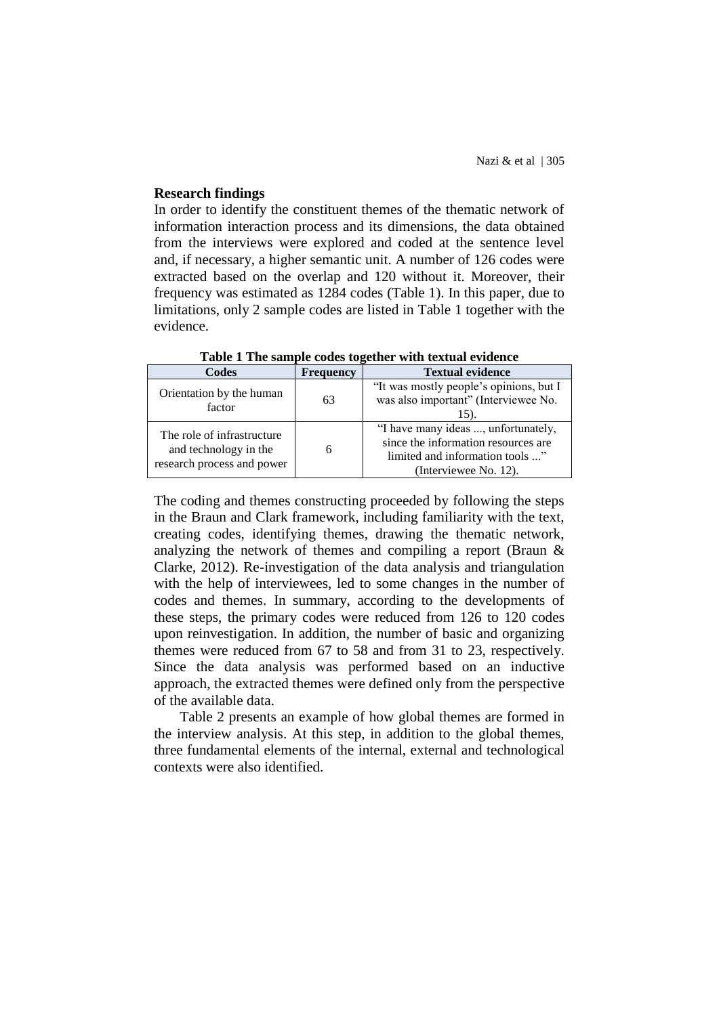### **Research findings**

In order to identify the constituent themes of the thematic network of information interaction process and its dimensions, the data obtained from the interviews were explored and coded at the sentence level and, if necessary, a higher semantic unit. A number of 126 codes were extracted based on the overlap and 120 without it. Moreover, their frequency was estimated as 1284 codes (Table 1). In this paper, due to limitations, only 2 sample codes are listed in Table 1 together with the evidence.

| Codes                                                                             | <b>Frequency</b> | <b>Textual evidence</b>                                                                                                                |  |  |  |
|-----------------------------------------------------------------------------------|------------------|----------------------------------------------------------------------------------------------------------------------------------------|--|--|--|
| Orientation by the human<br>factor                                                | 63               | "It was mostly people's opinions, but I<br>was also important" (Interviewee No.<br>15).                                                |  |  |  |
| The role of infrastructure<br>and technology in the<br>research process and power | 6                | "I have many ideas , unfortunately,<br>since the information resources are<br>limited and information tools "<br>(Interviewee No. 12). |  |  |  |

**Table 1 The sample codes together with textual evidence**

The coding and themes constructing proceeded by following the steps in the Braun and Clark framework, including familiarity with the text, creating codes, identifying themes, drawing the thematic network, analyzing the network of themes and compiling a report (Braun & Clarke, 2012). Re-investigation of the data analysis and triangulation with the help of interviewees, led to some changes in the number of codes and themes. In summary, according to the developments of these steps, the primary codes were reduced from 126 to 120 codes upon reinvestigation. In addition, the number of basic and organizing themes were reduced from 67 to 58 and from 31 to 23, respectively. Since the data analysis was performed based on an inductive approach, the extracted themes were defined only from the perspective of the available data.

Table 2 presents an example of how global themes are formed in the interview analysis. At this step, in addition to the global themes, three fundamental elements of the internal, external and technological contexts were also identified.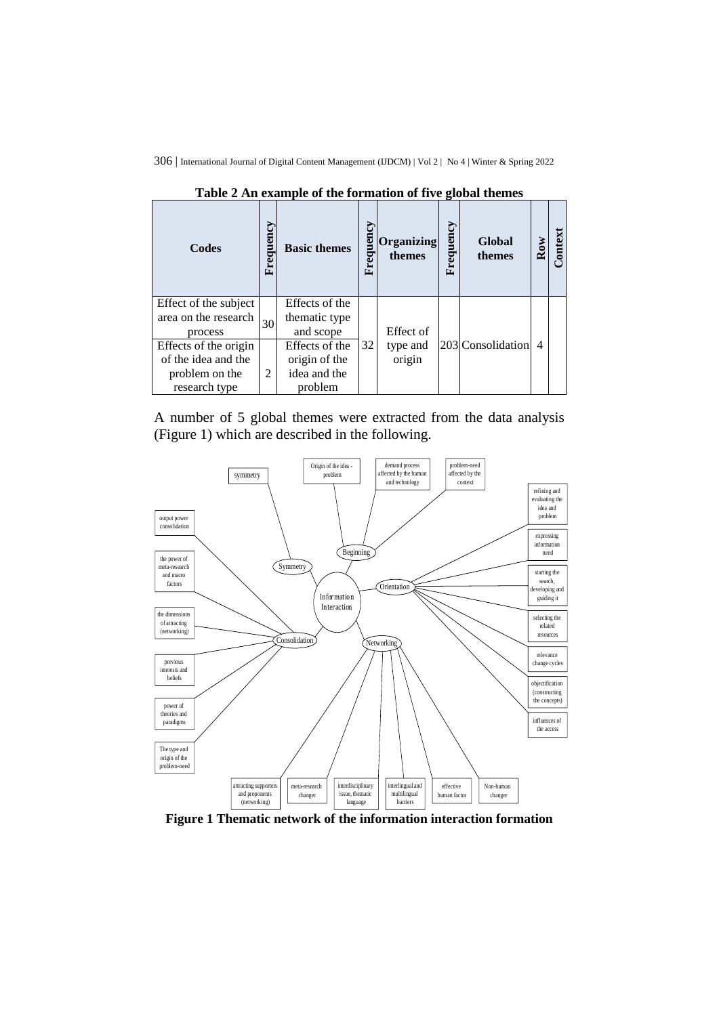| Codes                                                                           | Frequenc       | <b>Basic themes</b>                                        | uen<br>reg<br>Ġ. | Organizing<br>themes | Frequency | Global<br>themes  | Row | ontex |
|---------------------------------------------------------------------------------|----------------|------------------------------------------------------------|------------------|----------------------|-----------|-------------------|-----|-------|
| Effect of the subject<br>area on the research<br>process                        | 30             | Effects of the<br>thematic type<br>and scope               |                  | Effect of            |           |                   |     |       |
| Effects of the origin<br>of the idea and the<br>problem on the<br>research type | $\overline{c}$ | Effects of the<br>origin of the<br>idea and the<br>problem | 32               | type and<br>origin   |           | 203 Consolidation | 4   |       |

**Table 2 An example of the formation of five global themes**

A number of 5 global themes were extracted from the data analysis (Figure 1) which are described in the following.



**Figure 1 Thematic network of the information interaction formation**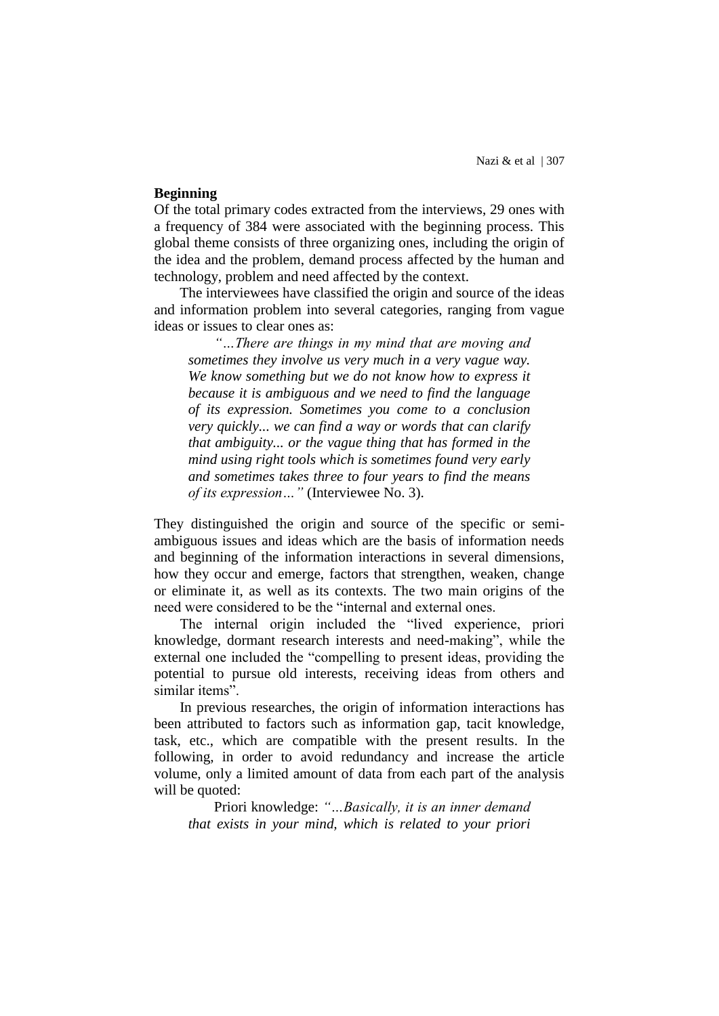Nazi & et al | 307

## **Beginning**

Of the total primary codes extracted from the interviews, 29 ones with a frequency of 384 were associated with the beginning process. This global theme consists of three organizing ones, including the origin of the idea and the problem, demand process affected by the human and technology, problem and need affected by the context.

The interviewees have classified the origin and source of the ideas and information problem into several categories, ranging from vague ideas or issues to clear ones as:

*"…There are things in my mind that are moving and sometimes they involve us very much in a very vague way. We know something but we do not know how to express it because it is ambiguous and we need to find the language of its expression. Sometimes you come to a conclusion very quickly... we can find a way or words that can clarify that ambiguity... or the vague thing that has formed in the mind using right tools which is sometimes found very early and sometimes takes three to four years to find the means of its expression…"* (Interviewee No. 3).

They distinguished the origin and source of the specific or semiambiguous issues and ideas which are the basis of information needs and beginning of the information interactions in several dimensions, how they occur and emerge, factors that strengthen, weaken, change or eliminate it, as well as its contexts. The two main origins of the need were considered to be the "internal and external ones.

The internal origin included the "lived experience, priori knowledge, dormant research interests and need-making", while the external one included the "compelling to present ideas, providing the potential to pursue old interests, receiving ideas from others and similar items".

In previous researches, the origin of information interactions has been attributed to factors such as information gap, tacit knowledge, task, etc., which are compatible with the present results. In the following, in order to avoid redundancy and increase the article volume, only a limited amount of data from each part of the analysis will be quoted:

Priori knowledge: *"…Basically, it is an inner demand that exists in your mind, which is related to your priori*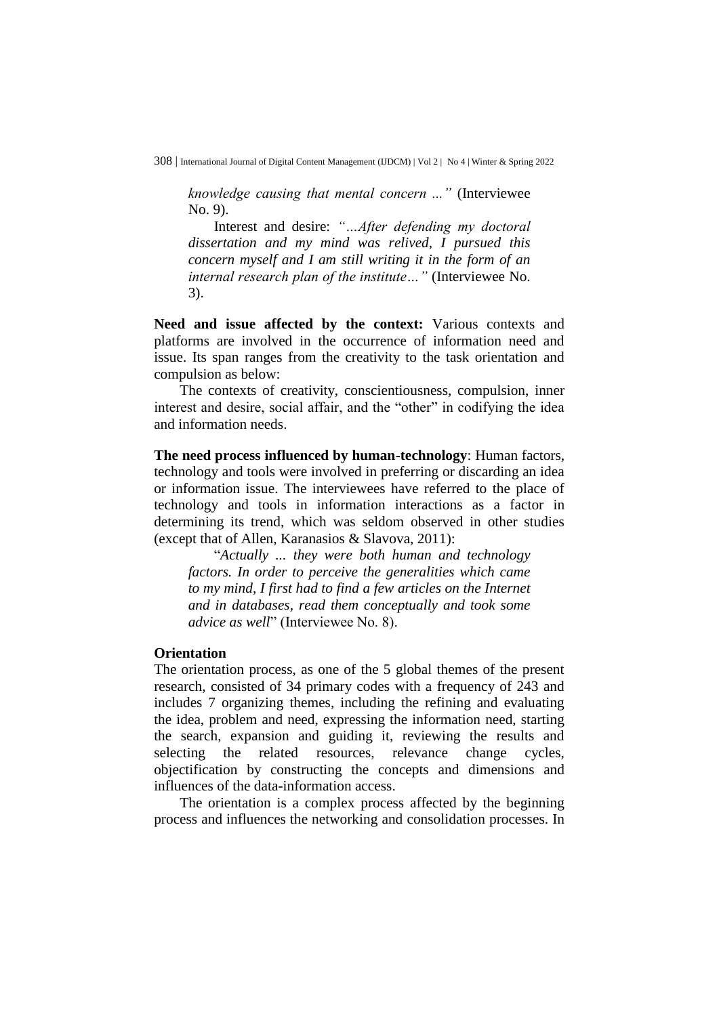*knowledge causing that mental concern ..."* (Interviewee No. 9).

Interest and desire: *"…After defending my doctoral dissertation and my mind was relived, I pursued this concern myself and I am still writing it in the form of an internal research plan of the institute…"* (Interviewee No. 3).

**Need and issue affected by the context:** Various contexts and platforms are involved in the occurrence of information need and issue. Its span ranges from the creativity to the task orientation and compulsion as below:

The contexts of creativity, conscientiousness, compulsion, inner interest and desire, social affair, and the "other" in codifying the idea and information needs.

**The need process influenced by human-technology**: Human factors, technology and tools were involved in preferring or discarding an idea or information issue. The interviewees have referred to the place of technology and tools in information interactions as a factor in determining its trend, which was seldom observed in other studies (except that of Allen, Karanasios & Slavova, 2011):

"*Actually ... they were both human and technology factors. In order to perceive the generalities which came to my mind, I first had to find a few articles on the Internet and in databases, read them conceptually and took some advice as well*" (Interviewee No. 8).

### **Orientation**

The orientation process, as one of the 5 global themes of the present research, consisted of 34 primary codes with a frequency of 243 and includes 7 organizing themes, including the refining and evaluating the idea, problem and need, expressing the information need, starting the search, expansion and guiding it, reviewing the results and selecting the related resources, relevance change cycles, objectification by constructing the concepts and dimensions and influences of the data-information access.

The orientation is a complex process affected by the beginning process and influences the networking and consolidation processes. In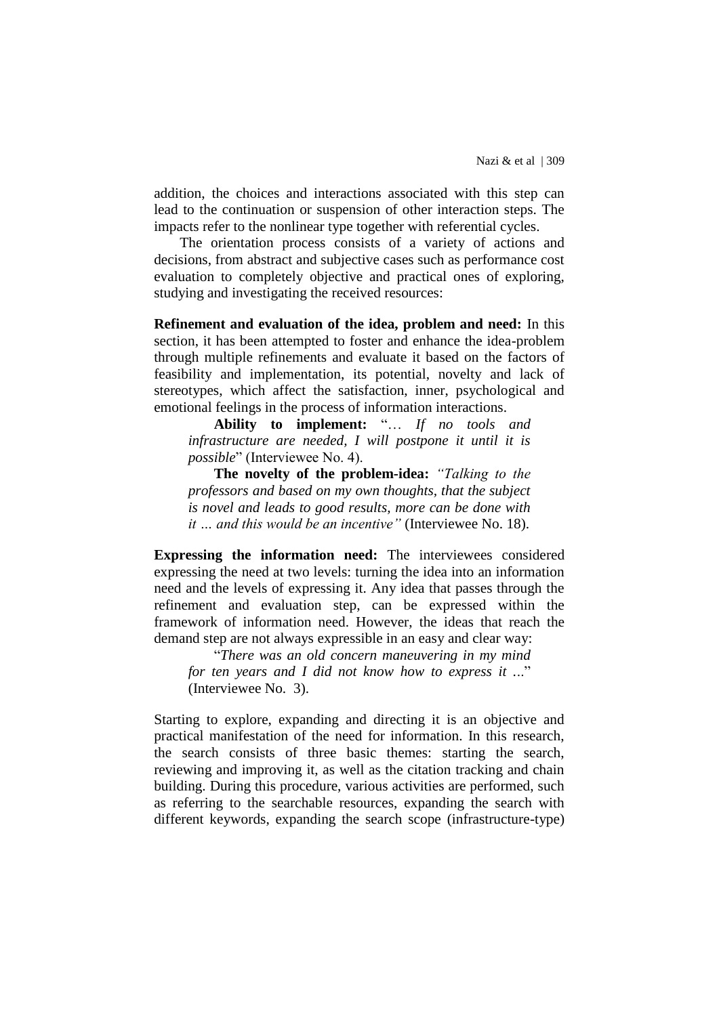addition, the choices and interactions associated with this step can lead to the continuation or suspension of other interaction steps. The impacts refer to the nonlinear type together with referential cycles.

The orientation process consists of a variety of actions and decisions, from abstract and subjective cases such as performance cost evaluation to completely objective and practical ones of exploring, studying and investigating the received resources:

**Refinement and evaluation of the idea, problem and need:** In this section, it has been attempted to foster and enhance the idea-problem through multiple refinements and evaluate it based on the factors of feasibility and implementation, its potential, novelty and lack of stereotypes, which affect the satisfaction, inner, psychological and emotional feelings in the process of information interactions.

**Ability to implement:** "… *If no tools and infrastructure are needed, I will postpone it until it is possible*" (Interviewee No. 4).

**The novelty of the problem-idea:** *"Talking to the professors and based on my own thoughts, that the subject is novel and leads to good results, more can be done with it … and this would be an incentive"* (Interviewee No. 18).

**Expressing the information need:** The interviewees considered expressing the need at two levels: turning the idea into an information need and the levels of expressing it. Any idea that passes through the refinement and evaluation step, can be expressed within the framework of information need. However, the ideas that reach the demand step are not always expressible in an easy and clear way:

"*There was an old concern maneuvering in my mind for ten years and I did not know how to express it .*.." (Interviewee No. 3).

Starting to explore, expanding and directing it is an objective and practical manifestation of the need for information. In this research, the search consists of three basic themes: starting the search, reviewing and improving it, as well as the citation tracking and chain building. During this procedure, various activities are performed, such as referring to the searchable resources, expanding the search with different keywords, expanding the search scope (infrastructure-type)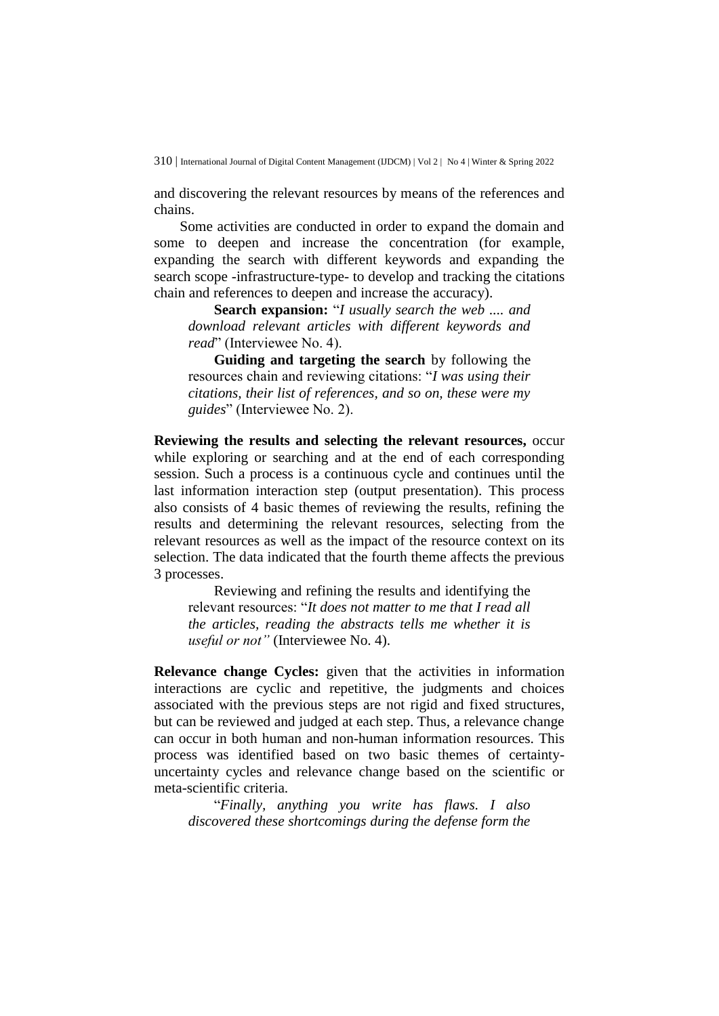and discovering the relevant resources by means of the references and chains.

Some activities are conducted in order to expand the domain and some to deepen and increase the concentration (for example, expanding the search with different keywords and expanding the search scope -infrastructure-type- to develop and tracking the citations chain and references to deepen and increase the accuracy).

**Search expansion:** "*I usually search the web .... and download relevant articles with different keywords and read*" (Interviewee No. 4).

**Guiding and targeting the search** by following the resources chain and reviewing citations: "*I was using their citations, their list of references, and so on, these were my guides*" (Interviewee No. 2).

**Reviewing the results and selecting the relevant resources,** occur while exploring or searching and at the end of each corresponding session. Such a process is a continuous cycle and continues until the last information interaction step (output presentation). This process also consists of 4 basic themes of reviewing the results, refining the results and determining the relevant resources, selecting from the relevant resources as well as the impact of the resource context on its selection. The data indicated that the fourth theme affects the previous 3 processes.

Reviewing and refining the results and identifying the relevant resources: "*It does not matter to me that I read all the articles, reading the abstracts tells me whether it is useful or not"* (Interviewee No. 4).

**Relevance change Cycles:** given that the activities in information interactions are cyclic and repetitive, the judgments and choices associated with the previous steps are not rigid and fixed structures, but can be reviewed and judged at each step. Thus, a relevance change can occur in both human and non-human information resources. This process was identified based on two basic themes of certaintyuncertainty cycles and relevance change based on the scientific or meta-scientific criteria.

"*Finally, anything you write has flaws. I also discovered these shortcomings during the defense form the*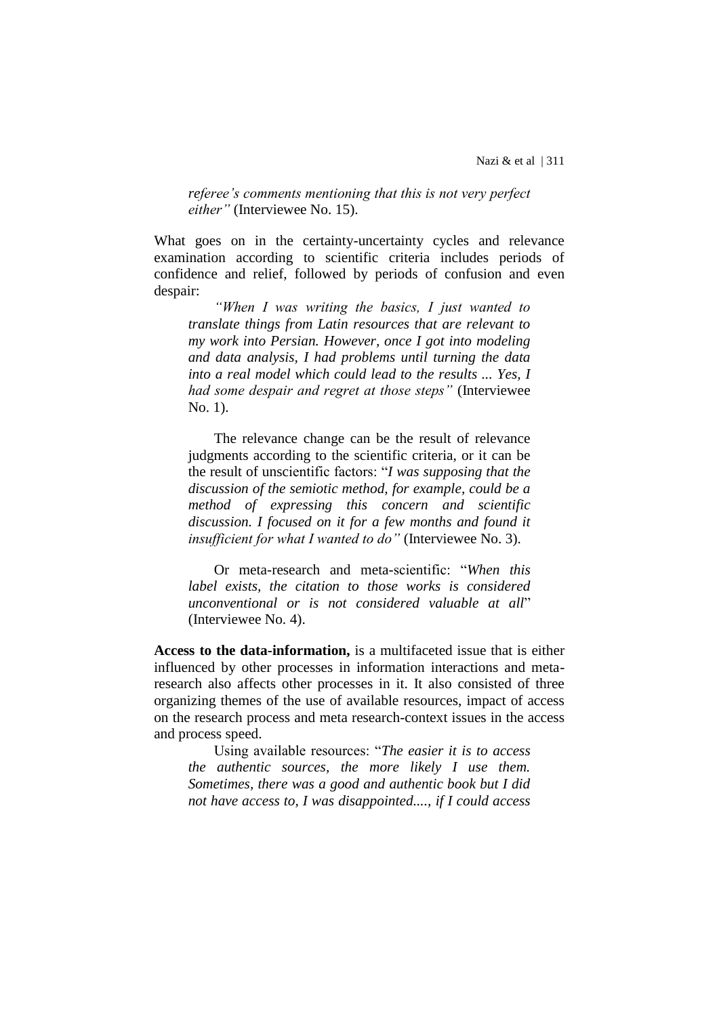*referee's comments mentioning that this is not very perfect either"* (Interviewee No. 15).

What goes on in the certainty-uncertainty cycles and relevance examination according to scientific criteria includes periods of confidence and relief, followed by periods of confusion and even despair:

*"When I was writing the basics, I just wanted to translate things from Latin resources that are relevant to my work into Persian. However, once I got into modeling and data analysis, I had problems until turning the data into a real model which could lead to the results ... Yes, I had some despair and regret at those steps"* (Interviewee No. 1).

The relevance change can be the result of relevance judgments according to the scientific criteria, or it can be the result of unscientific factors: "*I was supposing that the discussion of the semiotic method, for example, could be a method of expressing this concern and scientific discussion. I focused on it for a few months and found it insufficient for what I wanted to do"* (Interviewee No. 3).

Or meta-research and meta-scientific: "*When this label exists, the citation to those works is considered unconventional or is not considered valuable at all*" (Interviewee No. 4).

**Access to the data-information,** is a multifaceted issue that is either influenced by other processes in information interactions and metaresearch also affects other processes in it. It also consisted of three organizing themes of the use of available resources, impact of access on the research process and meta research-context issues in the access and process speed.

Using available resources: "*The easier it is to access the authentic sources, the more likely I use them. Sometimes, there was a good and authentic book but I did not have access to, I was disappointed...., if I could access*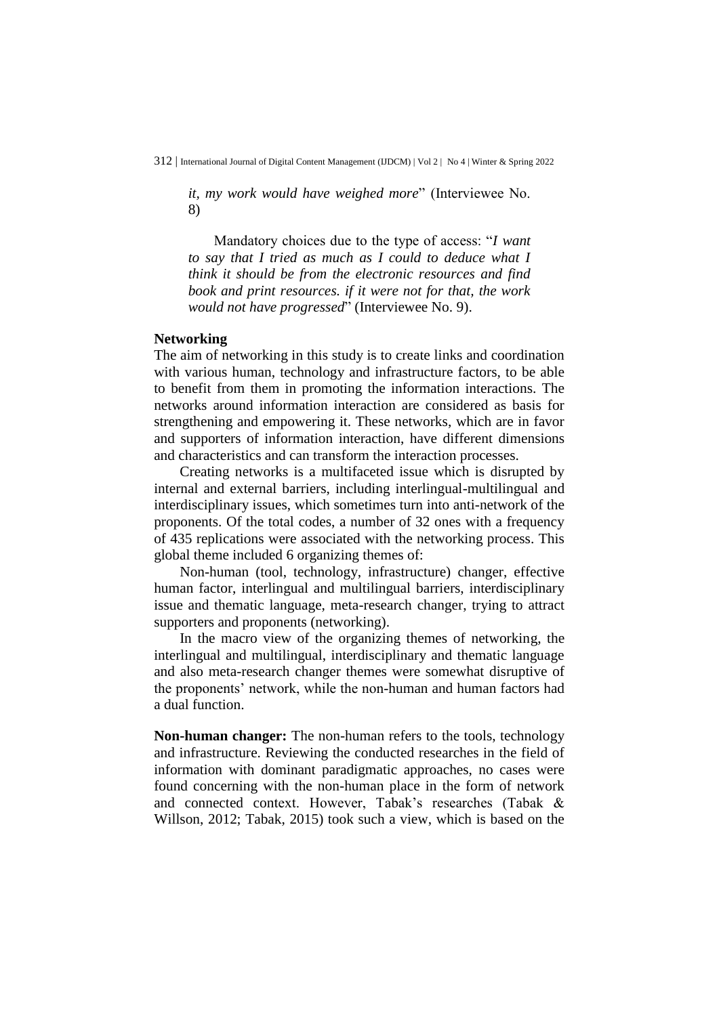*it, my work would have weighed more*" (Interviewee No. 8)

Mandatory choices due to the type of access: "*I want to say that I tried as much as I could to deduce what I think it should be from the electronic resources and find book and print resources. if it were not for that, the work would not have progressed*" (Interviewee No. 9).

### **Networking**

The aim of networking in this study is to create links and coordination with various human, technology and infrastructure factors, to be able to benefit from them in promoting the information interactions. The networks around information interaction are considered as basis for strengthening and empowering it. These networks, which are in favor and supporters of information interaction, have different dimensions and characteristics and can transform the interaction processes.

Creating networks is a multifaceted issue which is disrupted by internal and external barriers, including interlingual-multilingual and interdisciplinary issues, which sometimes turn into anti-network of the proponents. Of the total codes, a number of 32 ones with a frequency of 435 replications were associated with the networking process. This global theme included 6 organizing themes of:

Non-human (tool, technology, infrastructure) changer, effective human factor, interlingual and multilingual barriers, interdisciplinary issue and thematic language, meta-research changer, trying to attract supporters and proponents (networking).

In the macro view of the organizing themes of networking, the interlingual and multilingual, interdisciplinary and thematic language and also meta-research changer themes were somewhat disruptive of the proponents' network, while the non-human and human factors had a dual function.

**Non-human changer:** The non-human refers to the tools, technology and infrastructure. Reviewing the conducted researches in the field of information with dominant paradigmatic approaches, no cases were found concerning with the non-human place in the form of network and connected context. However, Tabak's researches (Tabak & Willson, 2012; Tabak, 2015) took such a view, which is based on the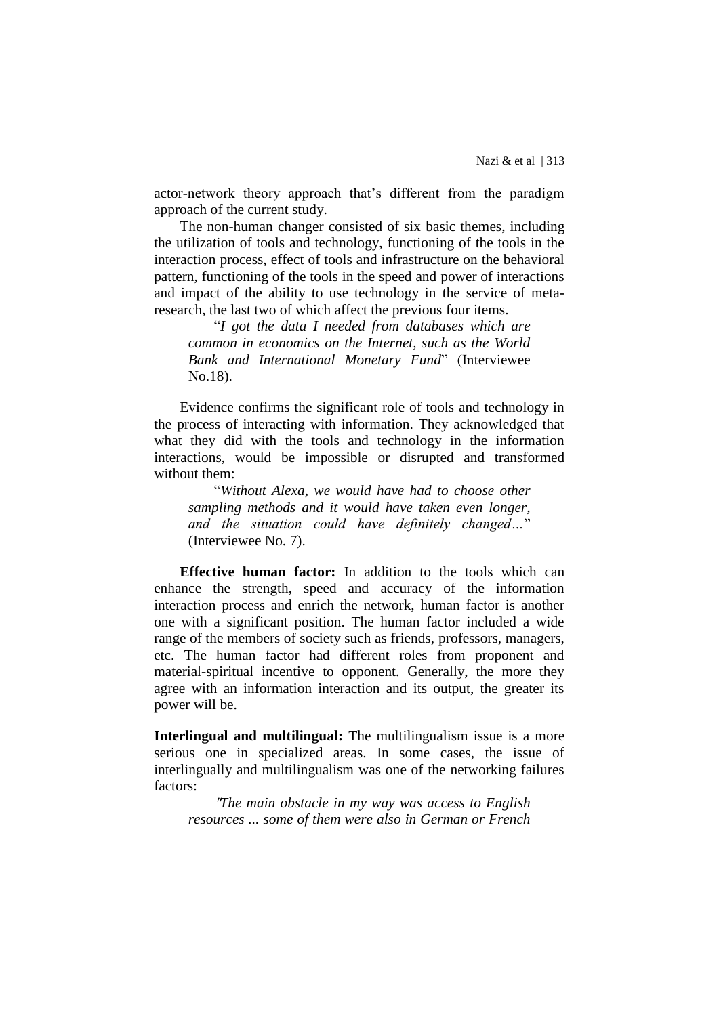actor-network theory approach that's different from the paradigm approach of the current study.

The non-human changer consisted of six basic themes, including the utilization of tools and technology, functioning of the tools in the interaction process, effect of tools and infrastructure on the behavioral pattern, functioning of the tools in the speed and power of interactions and impact of the ability to use technology in the service of metaresearch, the last two of which affect the previous four items.

"*I got the data I needed from databases which are common in economics on the Internet, such as the World Bank and International Monetary Fund*" (Interviewee No.18).

Evidence confirms the significant role of tools and technology in the process of interacting with information. They acknowledged that what they did with the tools and technology in the information interactions, would be impossible or disrupted and transformed without them:

"*Without Alexa, we would have had to choose other sampling methods and it would have taken even longer, and the situation could have definitely changed…*" (Interviewee No. 7).

**Effective human factor:** In addition to the tools which can enhance the strength, speed and accuracy of the information interaction process and enrich the network, human factor is another one with a significant position. The human factor included a wide range of the members of society such as friends, professors, managers, etc. The human factor had different roles from proponent and material-spiritual incentive to opponent. Generally, the more they agree with an information interaction and its output, the greater its power will be.

**Interlingual and multilingual:** The multilingualism issue is a more serious one in specialized areas. In some cases, the issue of interlingually and multilingualism was one of the networking failures factors:

"*The main obstacle in my way was access to English resources ... some of them were also in German or French*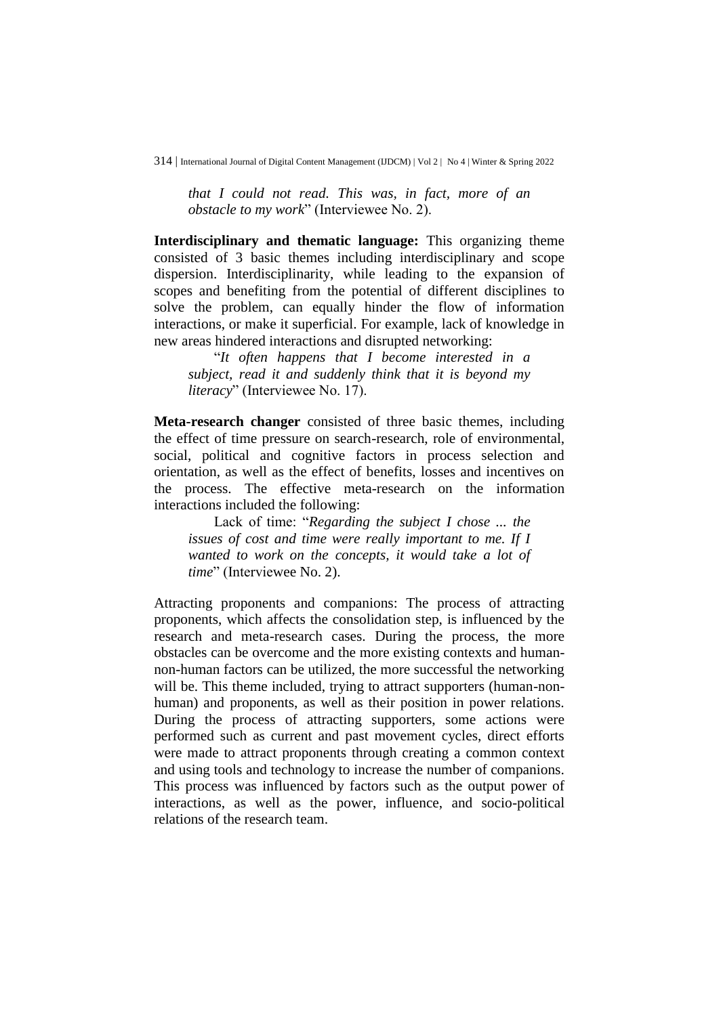*that I could not read. This was, in fact, more of an obstacle to my work*" (Interviewee No. 2).

**Interdisciplinary and thematic language:** This organizing theme consisted of 3 basic themes including interdisciplinary and scope dispersion. Interdisciplinarity, while leading to the expansion of scopes and benefiting from the potential of different disciplines to solve the problem, can equally hinder the flow of information interactions, or make it superficial. For example, lack of knowledge in new areas hindered interactions and disrupted networking:

"*It often happens that I become interested in a subject, read it and suddenly think that it is beyond my literacy*" (Interviewee No. 17).

**Meta-research changer** consisted of three basic themes, including the effect of time pressure on search-research, role of environmental, social, political and cognitive factors in process selection and orientation, as well as the effect of benefits, losses and incentives on the process. The effective meta-research on the information interactions included the following:

Lack of time: "*Regarding the subject I chose ... the issues of cost and time were really important to me. If I wanted to work on the concepts, it would take a lot of time*" (Interviewee No. 2).

Attracting proponents and companions: The process of attracting proponents, which affects the consolidation step, is influenced by the research and meta-research cases. During the process, the more obstacles can be overcome and the more existing contexts and humannon-human factors can be utilized, the more successful the networking will be. This theme included, trying to attract supporters (human-nonhuman) and proponents, as well as their position in power relations. During the process of attracting supporters, some actions were performed such as current and past movement cycles, direct efforts were made to attract proponents through creating a common context and using tools and technology to increase the number of companions. This process was influenced by factors such as the output power of interactions, as well as the power, influence, and socio-political relations of the research team.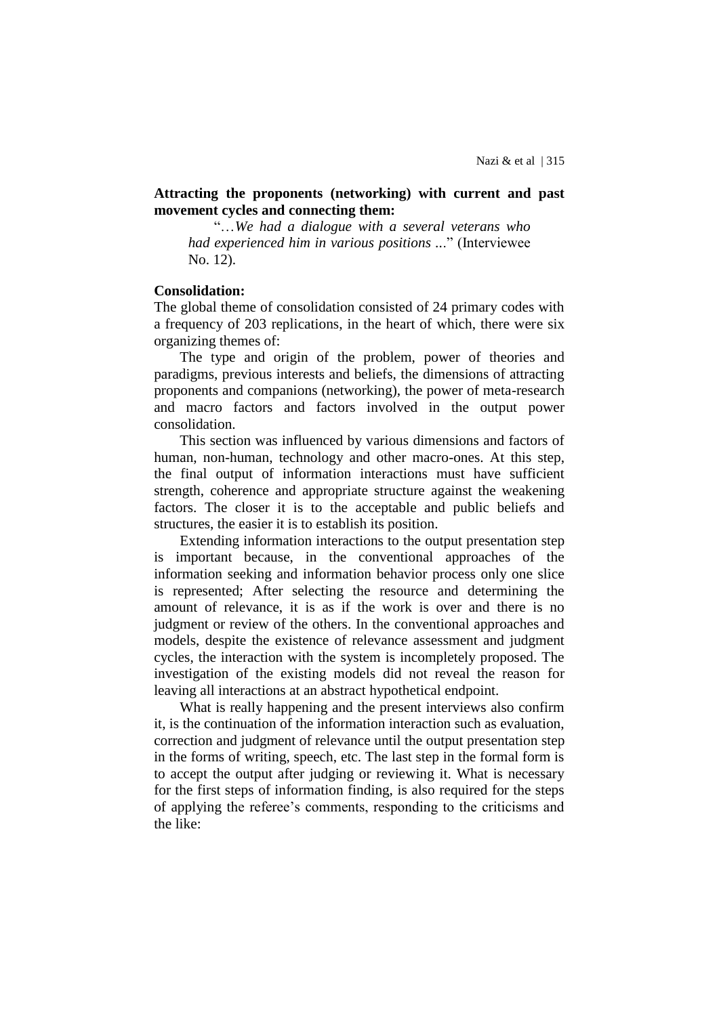# **Attracting the proponents (networking) with current and past movement cycles and connecting them:**

"…*We had a dialogue with a several veterans who had experienced him in various positions ..*." (Interviewee No. 12).

#### **Consolidation:**

The global theme of consolidation consisted of 24 primary codes with a frequency of 203 replications, in the heart of which, there were six organizing themes of:

The type and origin of the problem, power of theories and paradigms, previous interests and beliefs, the dimensions of attracting proponents and companions (networking), the power of meta-research and macro factors and factors involved in the output power consolidation.

This section was influenced by various dimensions and factors of human, non-human, technology and other macro-ones. At this step, the final output of information interactions must have sufficient strength, coherence and appropriate structure against the weakening factors. The closer it is to the acceptable and public beliefs and structures, the easier it is to establish its position.

Extending information interactions to the output presentation step is important because, in the conventional approaches of the information seeking and information behavior process only one slice is represented; After selecting the resource and determining the amount of relevance, it is as if the work is over and there is no judgment or review of the others. In the conventional approaches and models, despite the existence of relevance assessment and judgment cycles, the interaction with the system is incompletely proposed. The investigation of the existing models did not reveal the reason for leaving all interactions at an abstract hypothetical endpoint.

What is really happening and the present interviews also confirm it, is the continuation of the information interaction such as evaluation, correction and judgment of relevance until the output presentation step in the forms of writing, speech, etc. The last step in the formal form is to accept the output after judging or reviewing it. What is necessary for the first steps of information finding, is also required for the steps of applying the referee's comments, responding to the criticisms and the like: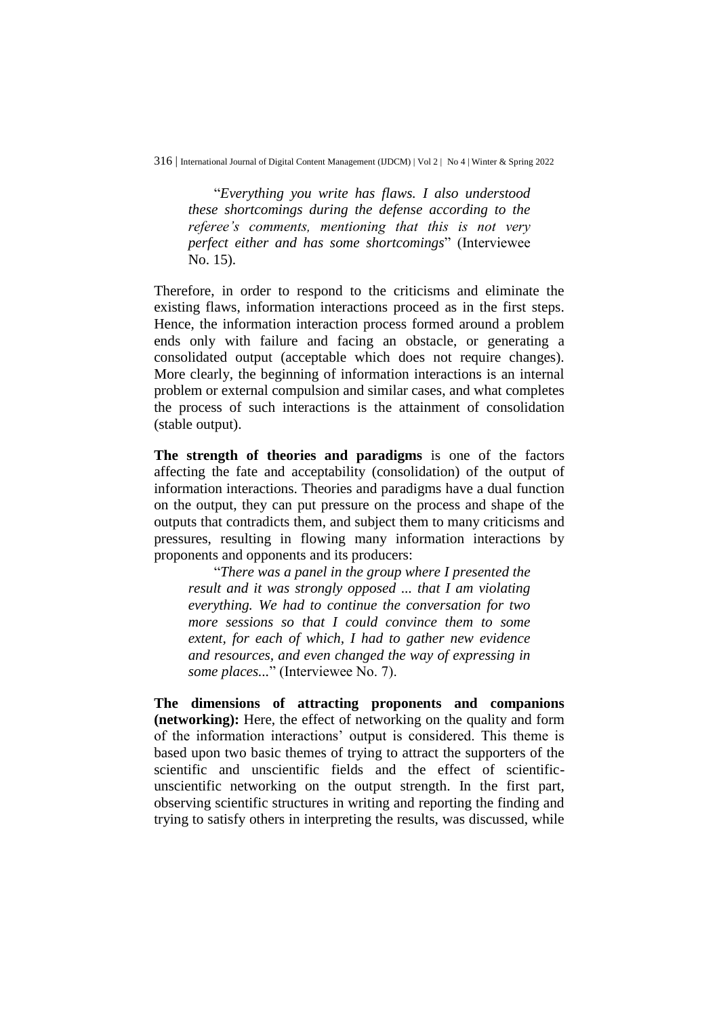"*Everything you write has flaws. I also understood these shortcomings during the defense according to the referee's comments, mentioning that this is not very perfect either and has some shortcomings*" (Interviewee No. 15).

Therefore, in order to respond to the criticisms and eliminate the existing flaws, information interactions proceed as in the first steps. Hence, the information interaction process formed around a problem ends only with failure and facing an obstacle, or generating a consolidated output (acceptable which does not require changes). More clearly, the beginning of information interactions is an internal problem or external compulsion and similar cases, and what completes the process of such interactions is the attainment of consolidation (stable output).

**The strength of theories and paradigms** is one of the factors affecting the fate and acceptability (consolidation) of the output of information interactions. Theories and paradigms have a dual function on the output, they can put pressure on the process and shape of the outputs that contradicts them, and subject them to many criticisms and pressures, resulting in flowing many information interactions by proponents and opponents and its producers:

"*There was a panel in the group where I presented the result and it was strongly opposed ... that I am violating everything. We had to continue the conversation for two more sessions so that I could convince them to some extent, for each of which, I had to gather new evidence and resources, and even changed the way of expressing in some places...*" (Interviewee No. 7).

**The dimensions of attracting proponents and companions (networking):** Here, the effect of networking on the quality and form of the information interactions' output is considered. This theme is based upon two basic themes of trying to attract the supporters of the scientific and unscientific fields and the effect of scientificunscientific networking on the output strength. In the first part, observing scientific structures in writing and reporting the finding and trying to satisfy others in interpreting the results, was discussed, while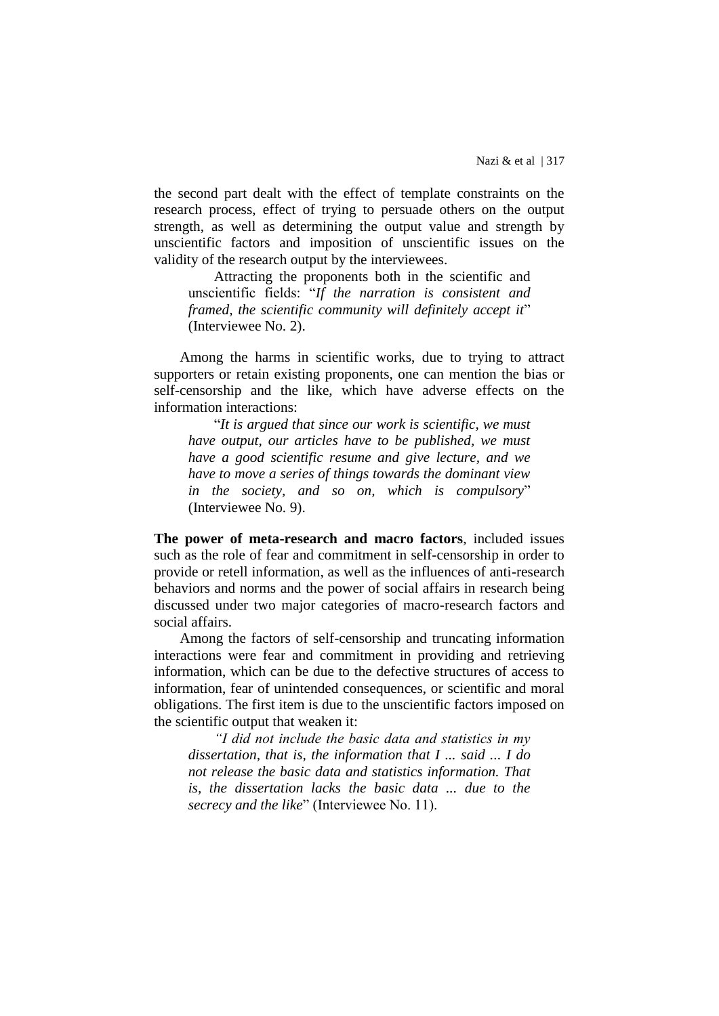the second part dealt with the effect of template constraints on the research process, effect of trying to persuade others on the output strength, as well as determining the output value and strength by unscientific factors and imposition of unscientific issues on the validity of the research output by the interviewees.

Attracting the proponents both in the scientific and unscientific fields: "*If the narration is consistent and framed, the scientific community will definitely accept it*" (Interviewee No. 2).

Among the harms in scientific works, due to trying to attract supporters or retain existing proponents, one can mention the bias or self-censorship and the like, which have adverse effects on the information interactions:

"*It is argued that since our work is scientific, we must have output, our articles have to be published, we must have a good scientific resume and give lecture, and we have to move a series of things towards the dominant view in the society, and so on, which is compulsory*" (Interviewee No. 9).

**The power of meta-research and macro factors**, included issues such as the role of fear and commitment in self-censorship in order to provide or retell information, as well as the influences of anti-research behaviors and norms and the power of social affairs in research being discussed under two major categories of macro-research factors and social affairs.

Among the factors of self-censorship and truncating information interactions were fear and commitment in providing and retrieving information, which can be due to the defective structures of access to information, fear of unintended consequences, or scientific and moral obligations. The first item is due to the unscientific factors imposed on the scientific output that weaken it:

*"I did not include the basic data and statistics in my dissertation, that is, the information that I ... said ... I do not release the basic data and statistics information. That is, the dissertation lacks the basic data ... due to the secrecy and the like*" (Interviewee No. 11).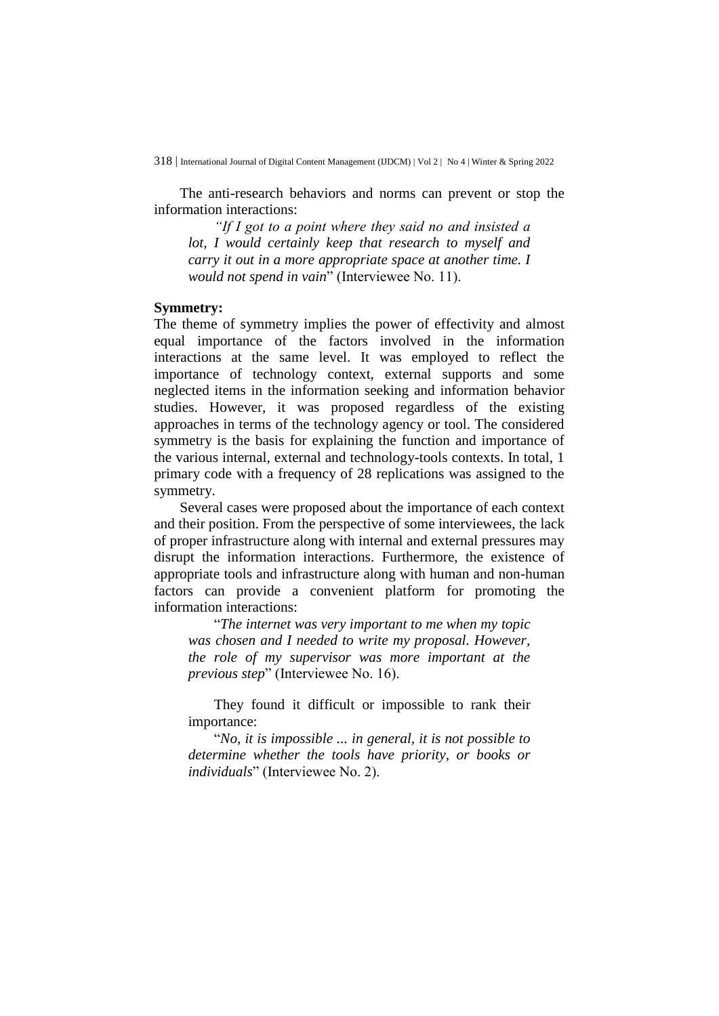The anti-research behaviors and norms can prevent or stop the information interactions:

*"If I got to a point where they said no and insisted a lot, I would certainly keep that research to myself and carry it out in a more appropriate space at another time. I would not spend in vain*" (Interviewee No. 11).

#### **Symmetry:**

The theme of symmetry implies the power of effectivity and almost equal importance of the factors involved in the information interactions at the same level. It was employed to reflect the importance of technology context, external supports and some neglected items in the information seeking and information behavior studies. However, it was proposed regardless of the existing approaches in terms of the technology agency or tool. The considered symmetry is the basis for explaining the function and importance of the various internal, external and technology-tools contexts. In total, 1 primary code with a frequency of 28 replications was assigned to the symmetry.

Several cases were proposed about the importance of each context and their position. From the perspective of some interviewees, the lack of proper infrastructure along with internal and external pressures may disrupt the information interactions. Furthermore, the existence of appropriate tools and infrastructure along with human and non-human factors can provide a convenient platform for promoting the information interactions:

"*The internet was very important to me when my topic was chosen and I needed to write my proposal. However, the role of my supervisor was more important at the previous step*" (Interviewee No. 16).

They found it difficult or impossible to rank their importance:

"*No, it is impossible ... in general, it is not possible to determine whether the tools have priority, or books or individuals*" (Interviewee No. 2).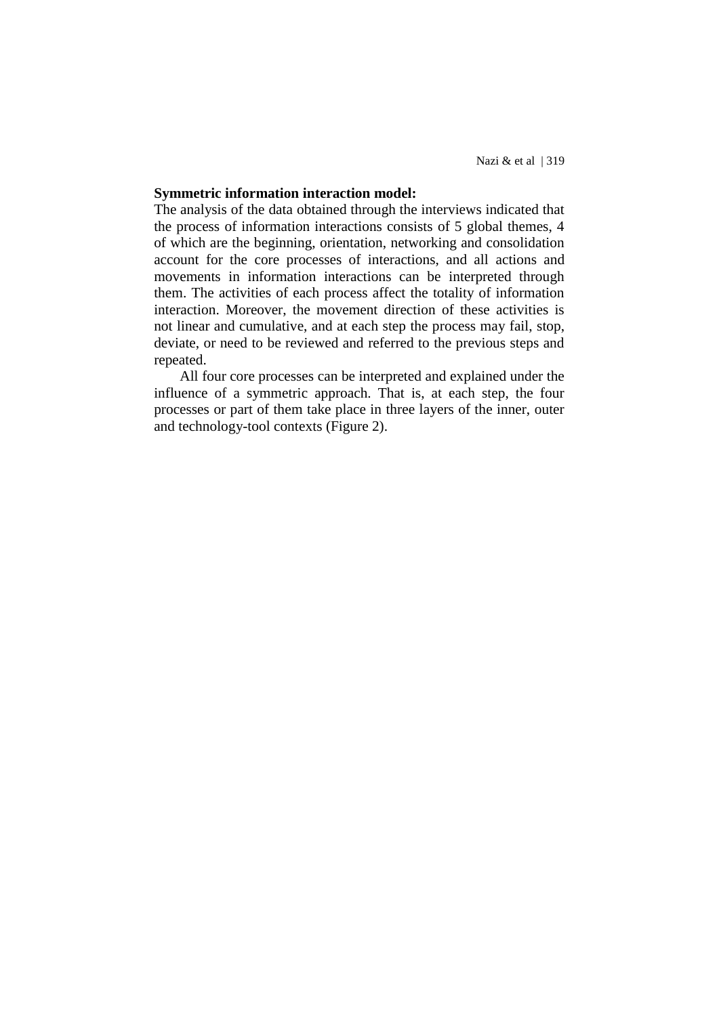# **Symmetric information interaction model:**

The analysis of the data obtained through the interviews indicated that the process of information interactions consists of 5 global themes, 4 of which are the beginning, orientation, networking and consolidation account for the core processes of interactions, and all actions and movements in information interactions can be interpreted through them. The activities of each process affect the totality of information interaction. Moreover, the movement direction of these activities is not linear and cumulative, and at each step the process may fail, stop, deviate, or need to be reviewed and referred to the previous steps and repeated.

All four core processes can be interpreted and explained under the influence of a symmetric approach. That is, at each step, the four processes or part of them take place in three layers of the inner, outer and technology-tool contexts (Figure 2).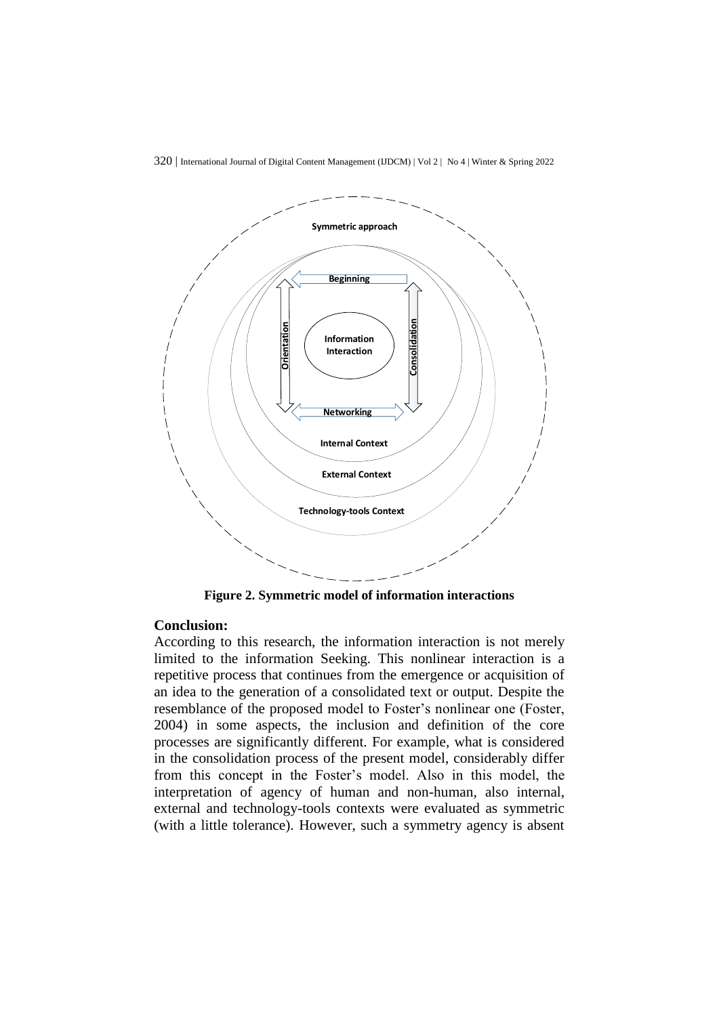

**Figure 2. Symmetric model of information interactions**

#### **Conclusion:**

According to this research, the information interaction is not merely limited to the information Seeking. This nonlinear interaction is a repetitive process that continues from the emergence or acquisition of an idea to the generation of a consolidated text or output. Despite the resemblance of the proposed model to Foster's nonlinear one (Foster, 2004) in some aspects, the inclusion and definition of the core processes are significantly different. For example, what is considered in the consolidation process of the present model, considerably differ from this concept in the Foster's model. Also in this model, the interpretation of agency of human and non-human, also internal, external and technology-tools contexts were evaluated as symmetric (with a little tolerance). However, such a symmetry agency is absent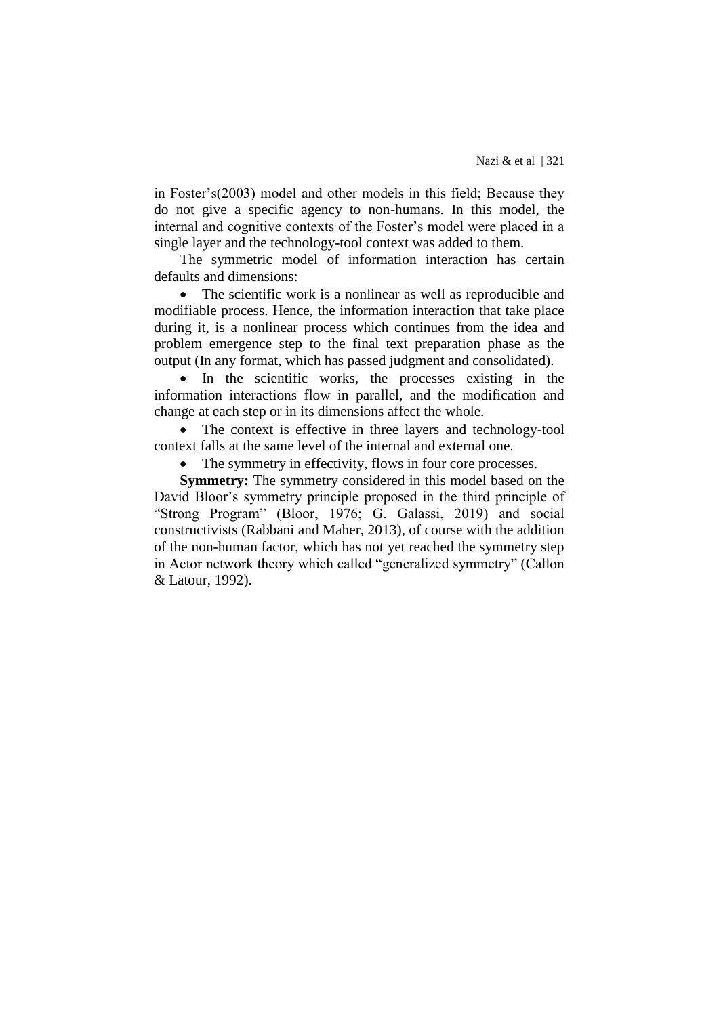in Foster's(2003) model and other models in this field; Because they do not give a specific agency to non-humans. In this model, the internal and cognitive contexts of the Foster's model were placed in a single layer and the technology-tool context was added to them.

The symmetric model of information interaction has certain defaults and dimensions:

• The scientific work is a nonlinear as well as reproducible and modifiable process. Hence, the information interaction that take place during it, is a nonlinear process which continues from the idea and problem emergence step to the final text preparation phase as the output (In any format, which has passed judgment and consolidated).

 In the scientific works, the processes existing in the information interactions flow in parallel, and the modification and change at each step or in its dimensions affect the whole.

• The context is effective in three layers and technology-tool context falls at the same level of the internal and external one.

The symmetry in effectivity, flows in four core processes.

**Symmetry:** The symmetry considered in this model based on the David Bloor's symmetry principle proposed in the third principle of "Strong Program" (Bloor, 1976; G. Galassi, 2019) and social constructivists (Rabbani and Maher, 2013), of course with the addition of the non-human factor, which has not yet reached the symmetry step in Actor network theory which called "generalized symmetry" (Callon & Latour, 1992).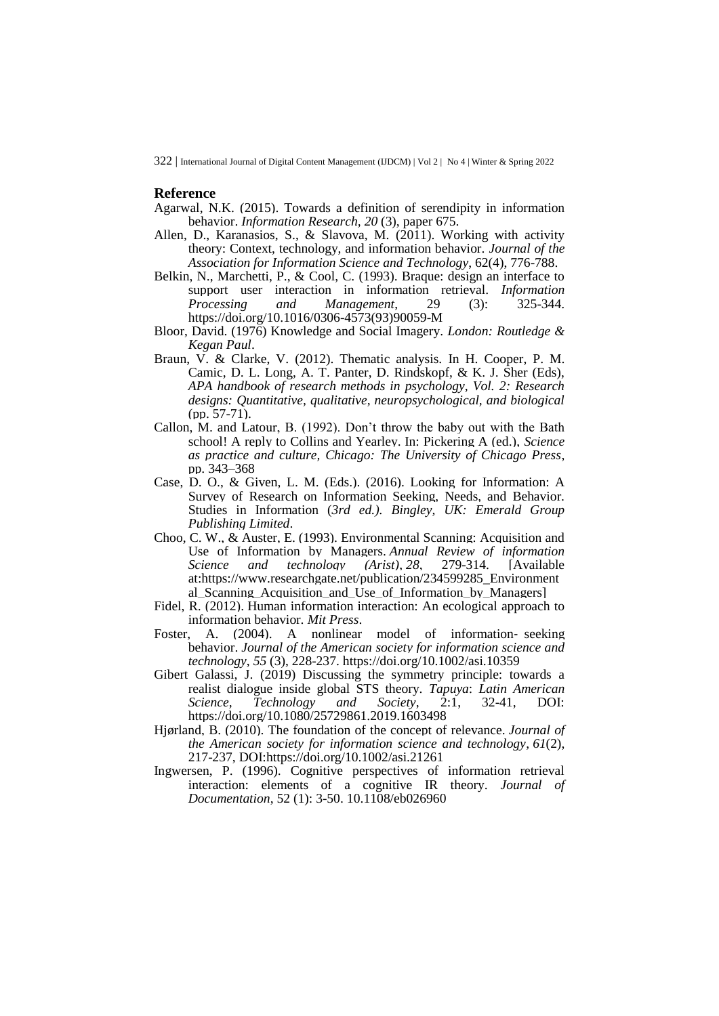#### **Reference**

- Agarwal, N.K. (2015). Towards a definition of serendipity in information behavior. *Information Research, 20* (3), paper 675.
- Allen, D., Karanasios, S., & Slavova, M. (2011). Working with activity theory: Context, technology, and information behavior. *Journal of the Association for Information Science and Technology*, 62(4), 776-788.
- Belkin, N., Marchetti, P., & Cool, C. (1993). Braque: design an interface to support user interaction in information retrieval. *Information Processing and Management*, 29 (3): 325-344. [https://doi.org/10.1016/0306-4573\(93\)90059-M](https://doi.org/10.1016/0306-4573(93)90059-M)
- Bloor, David. (1976) Knowledge and Social Imagery. *London: Routledge & Kegan Paul*.
- Braun, V. & Clarke, V. (2012). Thematic analysis. In H. Cooper, P. M. Camic, D. L. Long, A. T. Panter, D. Rindskopf, & K. J. Sher (Eds), *APA handbook of research methods in psychology, Vol. 2: Research designs: Quantitative, qualitative, neuropsychological, and biological*  $(pp. 57-71)$ .
- Callon, M. and Latour, B. (1992). Don't throw the baby out with the Bath school! A reply to Collins and Yearley. In: Pickering A (ed.), *Science as practice and culture, Chicago: The University of Chicago Press*, pp. 343–368
- Case, D. O., & Given, L. M. (Eds.). (2016). Looking for Information: A Survey of Research on Information Seeking, Needs, and Behavior. Studies in Information (*3rd ed.). Bingley, UK: Emerald Group Publishing Limited*.
- Choo, C. W., & Auster, E. (1993). Environmental Scanning: Acquisition and Use of Information by Managers. *Annual Review of information Science and technology (Arist)*, *28*, 279-314. [Available at:https://www.researchgate.net/publication/234599285\_Environment al Scanning Acquisition and Use of Information by Managers]
- Fidel, R. (2012). Human information interaction: An ecological approach to information behavior. *Mit Press*.
- Foster, A. (2004). A nonlinear model of information‐ seeking behavior. *Journal of the American society for information science and technology*, *55* (3), 228-237[.](https://doi.org/10.1002/asi.10359) <https://doi.org/10.1002/asi.10359>
- Gibert Galassi, J. (2019) Discussing the symmetry principle: towards a realist dialogue inside global STS theory. *Tapuya*: *Latin American Science, Technology and Society*, 2:1, 32-41, DOI: <https://doi.org/10.1080/25729861.2019.1603498>
- Hjørland, B. (2010). The foundation of the concept of relevance. *Journal of the American society for information science and technology*, *61*(2), 217-237, DOI[:https://doi.org/10.1002/asi.21261](https://doi.org/10.1002/asi.21261)
- Ingwersen, P. (1996). Cognitive perspectives of information retrieval interaction: elements of a cognitive IR theory. *Journal of Documentation*, 52 (1): 3-50. [10.1108/eb026960](https://sfx.aub.aau.dk/sfxaub?sid=pureportal&doi=10.1108/eb026960)